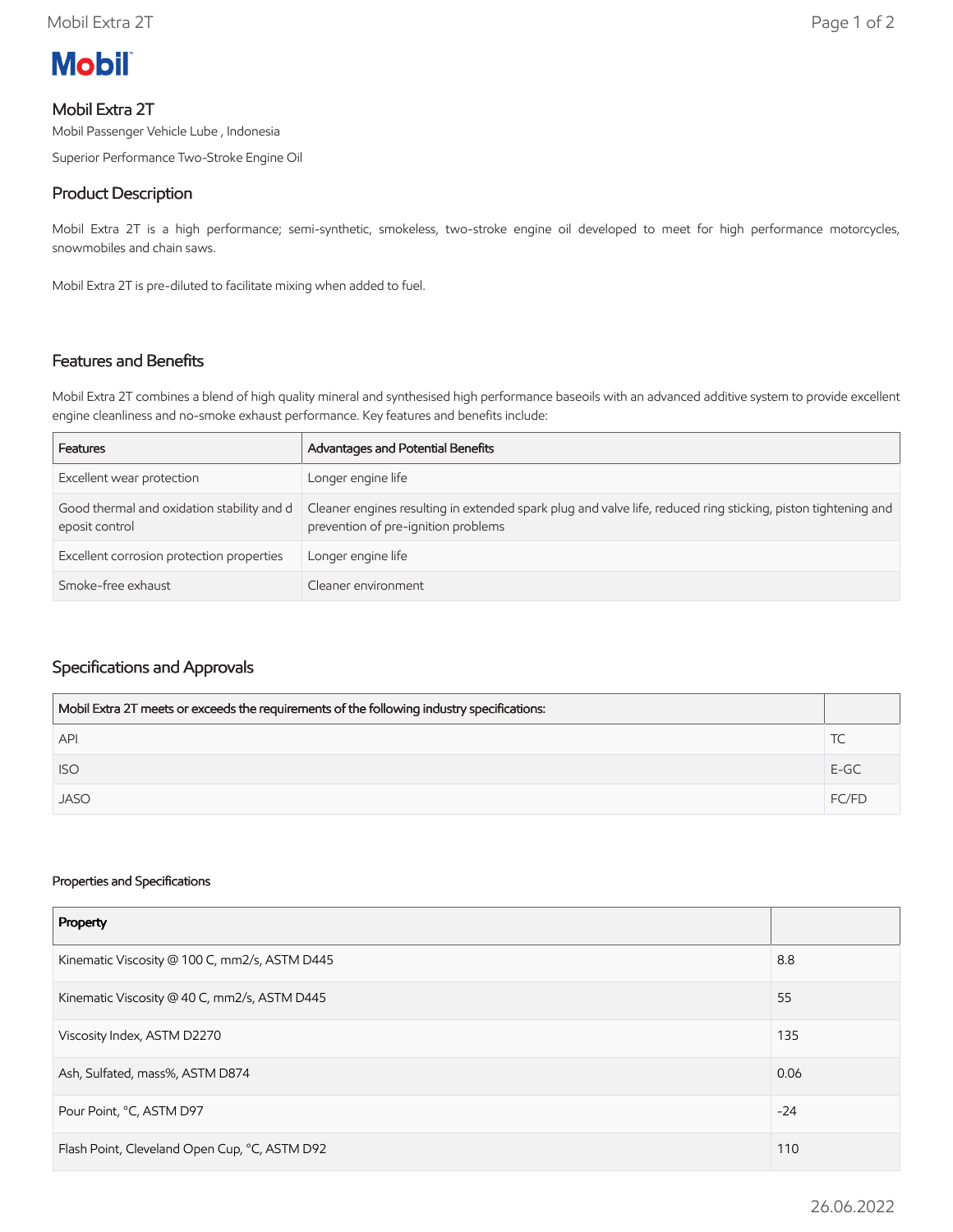# **Mobil**

## Mobil Extra 2T

Mobil Passenger Vehicle Lube , Indonesia

Superior Performance Two-Stroke Engine Oil

## Product Description

Mobil Extra 2T is a high performance; semi-synthetic, smokeless, two-stroke engine oil developed to meet for high performance motorcycles, snowmobiles and chain saws.

Mobil Extra 2T is pre-diluted to facilitate mixing when added to fuel.

#### Features and Benefits

Mobil Extra 2T combines a blend of high quality mineral and synthesised high performance baseoils with an advanced additive system to provide excellent engine cleanliness and no-smoke exhaust performance. Key features and benefits include:

| Features                                                     | Advantages and Potential Benefits                                                                                                                    |
|--------------------------------------------------------------|------------------------------------------------------------------------------------------------------------------------------------------------------|
| Excellent wear protection                                    | Longer engine life                                                                                                                                   |
| Good thermal and oxidation stability and d<br>eposit control | Cleaner engines resulting in extended spark plug and valve life, reduced ring sticking, piston tightening and<br>prevention of pre-ignition problems |
| Excellent corrosion protection properties                    | Longer engine life                                                                                                                                   |
| Smoke-free exhaust                                           | Cleaner environment                                                                                                                                  |

### Specifications and Approvals

| Mobil Extra 2T meets or exceeds the requirements of the following industry specifications: |        |
|--------------------------------------------------------------------------------------------|--------|
| <b>API</b>                                                                                 |        |
| <b>ISO</b>                                                                                 | $E-GC$ |
| <b>JASO</b>                                                                                | FC/FD  |

#### Properties and Specifications

| Property                                      |       |
|-----------------------------------------------|-------|
| Kinematic Viscosity @ 100 C, mm2/s, ASTM D445 |       |
| Kinematic Viscosity @ 40 C, mm2/s, ASTM D445  |       |
| Viscosity Index, ASTM D2270                   | 135   |
| Ash, Sulfated, mass%, ASTM D874               | 0.06  |
| Pour Point, °C, ASTM D97                      | $-24$ |
| Flash Point, Cleveland Open Cup, °C, ASTM D92 |       |